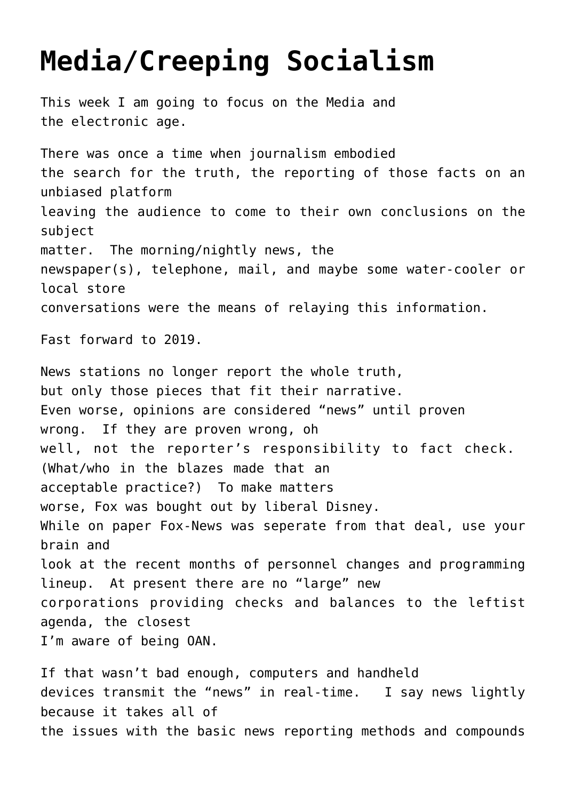## **[Media/Creeping Socialism](https://columbuscountyconservative.com/index.php/media-creeping-socialism/)**

This week I am going to focus on the Media and the electronic age. There was once a time when journalism embodied the search for the truth, the reporting of those facts on an unbiased platform leaving the audience to come to their own conclusions on the subject matter. The morning/nightly news, the newspaper(s), telephone, mail, and maybe some water-cooler or local store conversations were the means of relaying this information. Fast forward to 2019. News stations no longer report the whole truth, but only those pieces that fit their narrative. Even worse, opinions are considered "news" until proven wrong. If they are proven wrong, oh well, not the reporter's responsibility to fact check. (What/who in the blazes made that an acceptable practice?) To make matters worse, Fox was bought out by liberal Disney. While on paper Fox-News was seperate from that deal, use your brain and look at the recent months of personnel changes and programming lineup. At present there are no "large" new corporations providing checks and balances to the leftist agenda, the closest I'm aware of being OAN.

If that wasn't bad enough, computers and handheld devices transmit the "news" in real-time. I say news lightly because it takes all of the issues with the basic news reporting methods and compounds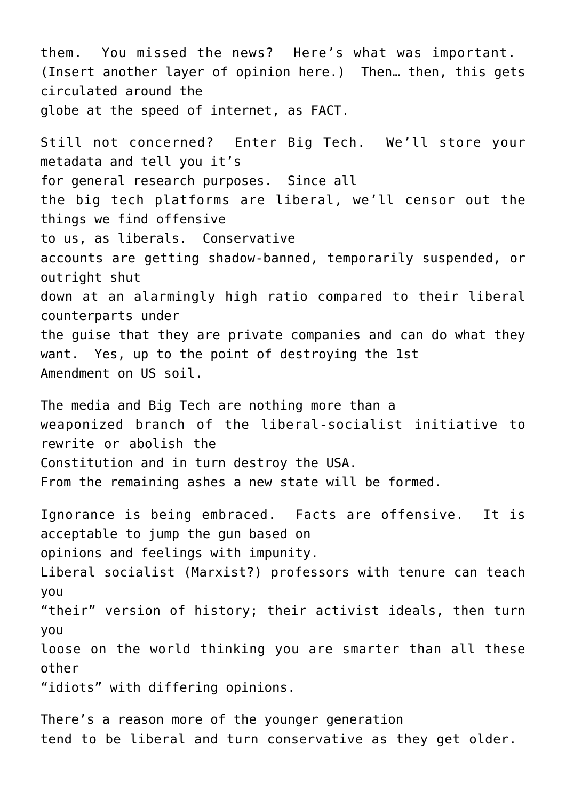them. You missed the news? Here's what was important. (Insert another layer of opinion here.) Then… then, this gets circulated around the globe at the speed of internet, as FACT.

Still not concerned? Enter Big Tech. We'll store your metadata and tell you it's for general research purposes. Since all the big tech platforms are liberal, we'll censor out the things we find offensive to us, as liberals. Conservative accounts are getting shadow-banned, temporarily suspended, or outright shut down at an alarmingly high ratio compared to their liberal counterparts under the guise that they are private companies and can do what they want. Yes, up to the point of destroying the 1st Amendment on US soil.

The media and Big Tech are nothing more than a weaponized branch of the liberal-socialist initiative to rewrite or abolish the Constitution and in turn destroy the USA. From the remaining ashes a new state will be formed.

Ignorance is being embraced. Facts are offensive. It is acceptable to jump the gun based on opinions and feelings with impunity. Liberal socialist (Marxist?) professors with tenure can teach you "their" version of history; their activist ideals, then turn you loose on the world thinking you are smarter than all these other "idiots" with differing opinions.

There's a reason more of the younger generation tend to be liberal and turn conservative as they get older.